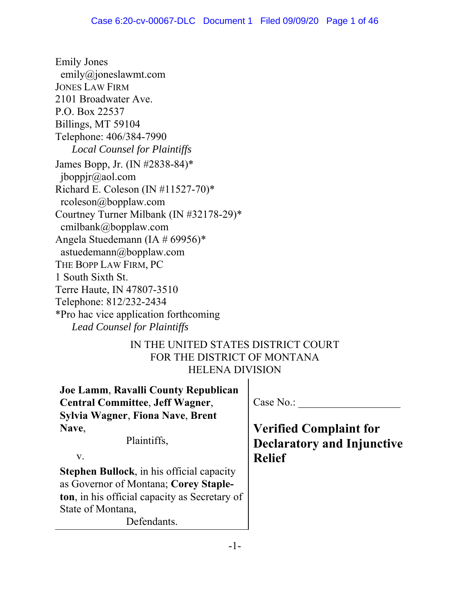Emily Jones emily@joneslawmt.com JONES LAW FIRM 2101 Broadwater Ave. P.O. Box 22537 Billings, MT 59104 Telephone: 406/384-7990 *Local Counsel for Plaintiffs* James Bopp, Jr. (IN #2838-84)\* jboppjr@aol.com Richard E. Coleson (IN #11527-70)\* rcoleson@bopplaw.com Courtney Turner Milbank (IN #32178-29)\* cmilbank@bopplaw.com Angela Stuedemann (IA # 69956)\* astuedemann@bopplaw.com THE BOPP LAW FIRM, PC 1 South Sixth St. Terre Haute, IN 47807-3510 Telephone: 812/232-2434 \*Pro hac vice application forthcoming *Lead Counsel for Plaintiffs*

# IN THE UNITED STATES DISTRICT COURT FOR THE DISTRICT OF MONTANA HELENA DIVISION

| Joe Lamm, Ravalli County Republican<br><b>Central Committee, Jeff Wagner,</b> | Case No.:                         |
|-------------------------------------------------------------------------------|-----------------------------------|
| Sylvia Wagner, Fiona Nave, Brent                                              |                                   |
| Nave,                                                                         | <b>Verified Complaint for</b>     |
| Plaintiffs,                                                                   | <b>Declaratory and Injunctive</b> |
| V.                                                                            | <b>Relief</b>                     |
| Stephen Bullock, in his official capacity                                     |                                   |
| as Governor of Montana; Corey Staple-                                         |                                   |
| ton, in his official capacity as Secretary of                                 |                                   |
| State of Montana,                                                             |                                   |
| Defendants.                                                                   |                                   |
|                                                                               |                                   |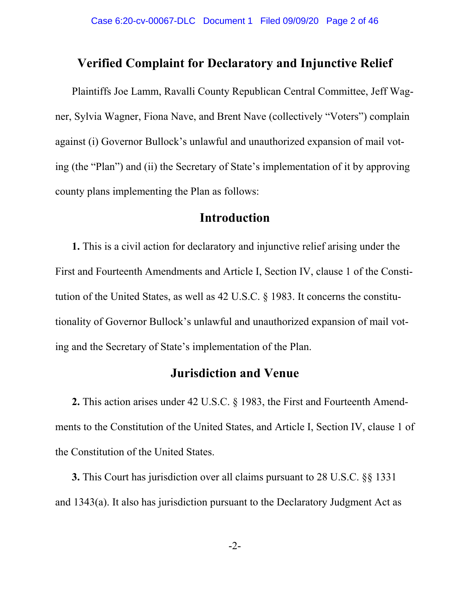## **Verified Complaint for Declaratory and Injunctive Relief**

Plaintiffs Joe Lamm, Ravalli County Republican Central Committee, Jeff Wagner, Sylvia Wagner, Fiona Nave, and Brent Nave (collectively "Voters") complain against (i) Governor Bullock's unlawful and unauthorized expansion of mail voting (the "Plan") and (ii) the Secretary of State's implementation of it by approving county plans implementing the Plan as follows:

# **Introduction**

**1.** This is a civil action for declaratory and injunctive relief arising under the First and Fourteenth Amendments and Article I, Section IV, clause 1 of the Constitution of the United States, as well as 42 U.S.C. § 1983. It concerns the constitutionality of Governor Bullock's unlawful and unauthorized expansion of mail voting and the Secretary of State's implementation of the Plan.

# **Jurisdiction and Venue**

**2.** This action arises under 42 U.S.C. § 1983, the First and Fourteenth Amendments to the Constitution of the United States, and Article I, Section IV, clause 1 of the Constitution of the United States.

**3.** This Court has jurisdiction over all claims pursuant to 28 U.S.C. §§ 1331 and 1343(a). It also has jurisdiction pursuant to the Declaratory Judgment Act as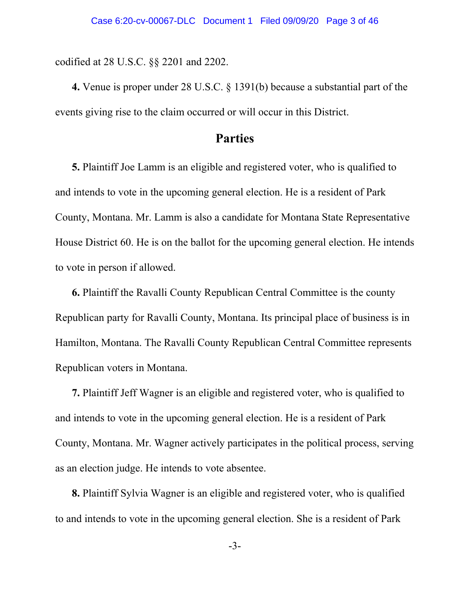codified at 28 U.S.C. §§ 2201 and 2202.

**4.** Venue is proper under 28 U.S.C. § 1391(b) because a substantial part of the events giving rise to the claim occurred or will occur in this District.

# **Parties**

**5.** Plaintiff Joe Lamm is an eligible and registered voter, who is qualified to and intends to vote in the upcoming general election. He is a resident of Park County, Montana. Mr. Lamm is also a candidate for Montana State Representative House District 60. He is on the ballot for the upcoming general election. He intends to vote in person if allowed.

**6.** Plaintiff the Ravalli County Republican Central Committee is the county Republican party for Ravalli County, Montana. Its principal place of business is in Hamilton, Montana. The Ravalli County Republican Central Committee represents Republican voters in Montana.

**7.** Plaintiff Jeff Wagner is an eligible and registered voter, who is qualified to and intends to vote in the upcoming general election. He is a resident of Park County, Montana. Mr. Wagner actively participates in the political process, serving as an election judge. He intends to vote absentee.

**8.** Plaintiff Sylvia Wagner is an eligible and registered voter, who is qualified to and intends to vote in the upcoming general election. She is a resident of Park

-3-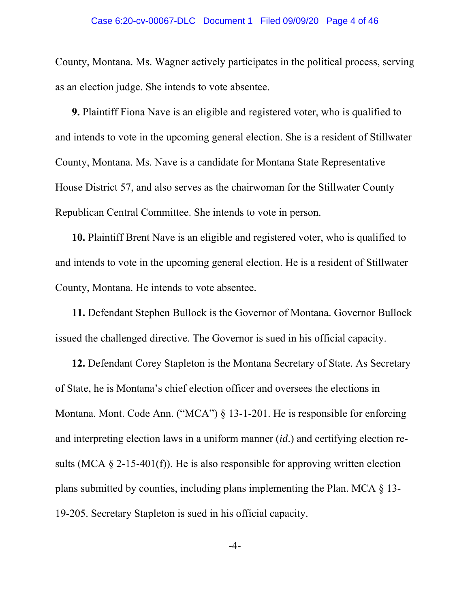County, Montana. Ms. Wagner actively participates in the political process, serving as an election judge. She intends to vote absentee.

**9.** Plaintiff Fiona Nave is an eligible and registered voter, who is qualified to and intends to vote in the upcoming general election. She is a resident of Stillwater County, Montana. Ms. Nave is a candidate for Montana State Representative House District 57, and also serves as the chairwoman for the Stillwater County Republican Central Committee. She intends to vote in person.

**10.** Plaintiff Brent Nave is an eligible and registered voter, who is qualified to and intends to vote in the upcoming general election. He is a resident of Stillwater County, Montana. He intends to vote absentee.

**11.** Defendant Stephen Bullock is the Governor of Montana. Governor Bullock issued the challenged directive. The Governor is sued in his official capacity.

**12.** Defendant Corey Stapleton is the Montana Secretary of State. As Secretary of State, he is Montana's chief election officer and oversees the elections in Montana. Mont. Code Ann. ("MCA") § 13-1-201. He is responsible for enforcing and interpreting election laws in a uniform manner (*id*.) and certifying election results (MCA  $\S$  2-15-401(f)). He is also responsible for approving written election plans submitted by counties, including plans implementing the Plan. MCA § 13- 19-205. Secretary Stapleton is sued in his official capacity.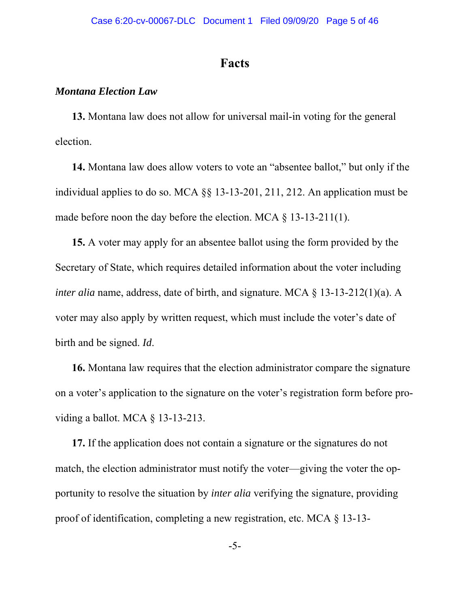## **Facts**

### *Montana Election Law*

**13.** Montana law does not allow for universal mail-in voting for the general election.

**14.** Montana law does allow voters to vote an "absentee ballot," but only if the individual applies to do so. MCA §§ 13-13-201, 211, 212. An application must be made before noon the day before the election. MCA § 13-13-211(1).

**15.** A voter may apply for an absentee ballot using the form provided by the Secretary of State, which requires detailed information about the voter including *inter alia* name, address, date of birth, and signature. MCA  $\S$  13-13-212(1)(a). A voter may also apply by written request, which must include the voter's date of birth and be signed. *Id*.

**16.** Montana law requires that the election administrator compare the signature on a voter's application to the signature on the voter's registration form before providing a ballot. MCA § 13-13-213.

**17.** If the application does not contain a signature or the signatures do not match, the election administrator must notify the voter—giving the voter the opportunity to resolve the situation by *inter alia* verifying the signature, providing proof of identification, completing a new registration, etc. MCA § 13-13-

-5-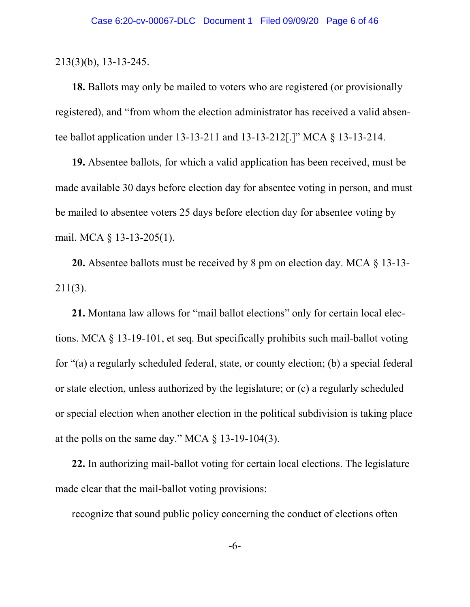213(3)(b), 13-13-245.

**18.** Ballots may only be mailed to voters who are registered (or provisionally registered), and "from whom the election administrator has received a valid absentee ballot application under 13-13-211 and 13-13-212[.]" MCA § 13-13-214.

**19.** Absentee ballots, for which a valid application has been received, must be made available 30 days before election day for absentee voting in person, and must be mailed to absentee voters 25 days before election day for absentee voting by mail. MCA § 13-13-205(1).

**20.** Absentee ballots must be received by 8 pm on election day. MCA § 13-13- 211(3).

**21.** Montana law allows for "mail ballot elections" only for certain local elections. MCA § 13-19-101, et seq. But specifically prohibits such mail-ballot voting for "(a) a regularly scheduled federal, state, or county election; (b) a special federal or state election, unless authorized by the legislature; or (c) a regularly scheduled or special election when another election in the political subdivision is taking place at the polls on the same day." MCA  $\S$  13-19-104(3).

**22.** In authorizing mail-ballot voting for certain local elections. The legislature made clear that the mail-ballot voting provisions:

recognize that sound public policy concerning the conduct of elections often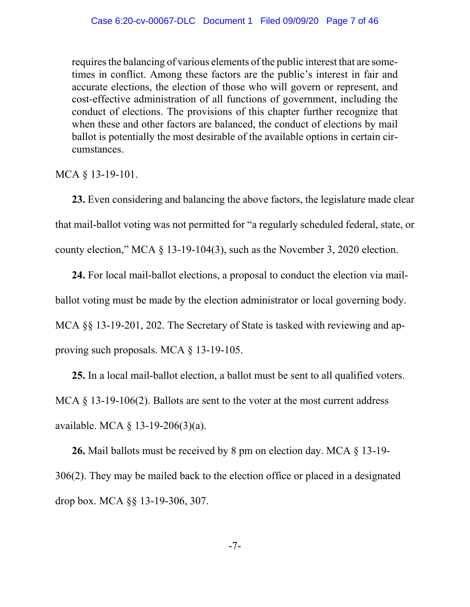requires the balancing of various elements of the public interest that are sometimes in conflict. Among these factors are the public's interest in fair and accurate elections, the election of those who will govern or represent, and cost-effective administration of all functions of government, including the conduct of elections. The provisions of this chapter further recognize that when these and other factors are balanced, the conduct of elections by mail ballot is potentially the most desirable of the available options in certain circumstances.

MCA § 13-19-101.

**23.** Even considering and balancing the above factors, the legislature made clear that mail-ballot voting was not permitted for "a regularly scheduled federal, state, or county election," MCA § 13-19-104(3), such as the November 3, 2020 election.

**24.** For local mail-ballot elections, a proposal to conduct the election via mailballot voting must be made by the election administrator or local governing body. MCA §§ 13-19-201, 202. The Secretary of State is tasked with reviewing and approving such proposals. MCA § 13-19-105.

**25.** In a local mail-ballot election, a ballot must be sent to all qualified voters. MCA  $\S$  13-19-106(2). Ballots are sent to the voter at the most current address available. MCA § 13-19-206(3)(a).

**26.** Mail ballots must be received by 8 pm on election day. MCA § 13-19- 306(2). They may be mailed back to the election office or placed in a designated drop box. MCA §§ 13-19-306, 307.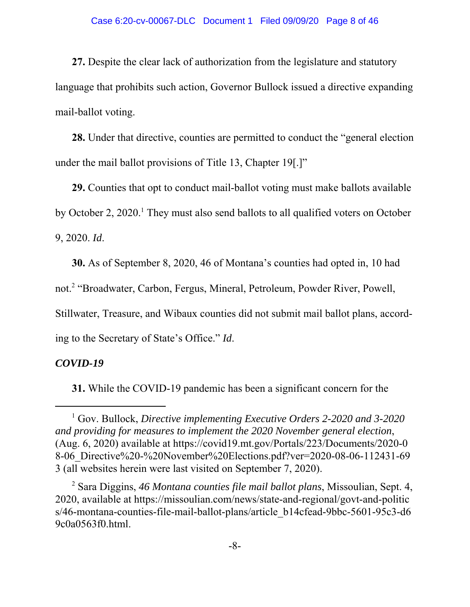**27.** Despite the clear lack of authorization from the legislature and statutory language that prohibits such action, Governor Bullock issued a directive expanding mail-ballot voting.

**28.** Under that directive, counties are permitted to conduct the "general election under the mail ballot provisions of Title 13, Chapter 19[.]"

**29.** Counties that opt to conduct mail-ballot voting must make ballots available by October 2, 2020.<sup>1</sup> They must also send ballots to all qualified voters on October 9, 2020. *Id*.

**30.** As of September 8, 2020, 46 of Montana's counties had opted in, 10 had

not.<sup>2</sup> "Broadwater, Carbon, Fergus, Mineral, Petroleum, Powder River, Powell,

Stillwater, Treasure, and Wibaux counties did not submit mail ballot plans, accord-

ing to the Secretary of State's Office." *Id*.

### *COVID-19*

**31.** While the COVID-19 pandemic has been a significant concern for the

<sup>&</sup>lt;sup>1</sup> Gov. Bullock, *Directive implementing Executive Orders 2-2020 and 3-2020 and providing for measures to implement the 2020 November general election*, (Aug. 6, 2020) available at https://covid19.mt.gov/Portals/223/Documents/2020-0 8-06\_Directive%20-%20November%20Elections.pdf?ver=2020-08-06-112431-69 3 (all websites herein were last visited on September 7, 2020).

<sup>2</sup> Sara Diggins, *46 Montana counties file mail ballot plans*, Missoulian, Sept. 4, 2020, available at https://missoulian.com/news/state-and-regional/govt-and-politic s/46-montana-counties-file-mail-ballot-plans/article\_b14cfead-9bbc-5601-95c3-d6 9c0a0563f0.html.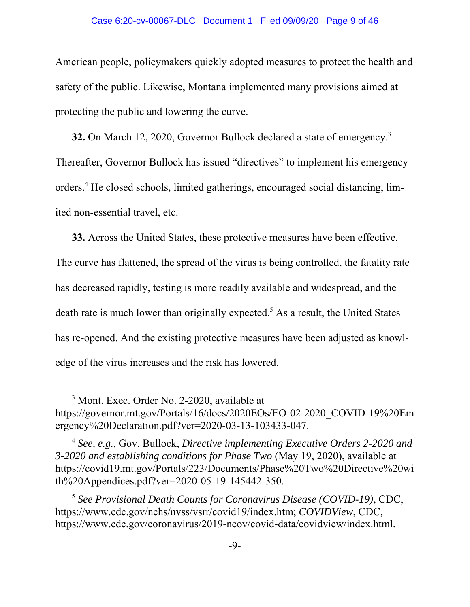#### Case 6:20-cv-00067-DLC Document 1 Filed 09/09/20 Page 9 of 46

American people, policymakers quickly adopted measures to protect the health and safety of the public. Likewise, Montana implemented many provisions aimed at protecting the public and lowering the curve.

**32.** On March 12, 2020, Governor Bullock declared a state of emergency.<sup>3</sup> Thereafter, Governor Bullock has issued "directives" to implement his emergency orders.<sup>4</sup> He closed schools, limited gatherings, encouraged social distancing, limited non-essential travel, etc.

**33.** Across the United States, these protective measures have been effective. The curve has flattened, the spread of the virus is being controlled, the fatality rate has decreased rapidly, testing is more readily available and widespread, and the death rate is much lower than originally expected.<sup>5</sup> As a result, the United States has re-opened. And the existing protective measures have been adjusted as knowledge of the virus increases and the risk has lowered.

<sup>&</sup>lt;sup>3</sup> Mont. Exec. Order No. 2-2020, available at https://governor.mt.gov/Portals/16/docs/2020EOs/EO-02-2020\_COVID-19%20Em ergency%20Declaration.pdf?ver=2020-03-13-103433-047.

<sup>4</sup> *See, e.g.,* Gov. Bullock, *Directive implementing Executive Orders 2-2020 and 3-2020 and establishing conditions for Phase Two* (May 19, 2020), available at https://covid19.mt.gov/Portals/223/Documents/Phase%20Two%20Directive%20wi th%20Appendices.pdf?ver=2020-05-19-145442-350.

<sup>5</sup> *See Provisional Death Counts for Coronavirus Disease (COVID-19)*, CDC, https://www.cdc.gov/nchs/nvss/vsrr/covid19/index.htm; *COVIDView*, CDC, https://www.cdc.gov/coronavirus/2019-ncov/covid-data/covidview/index.html.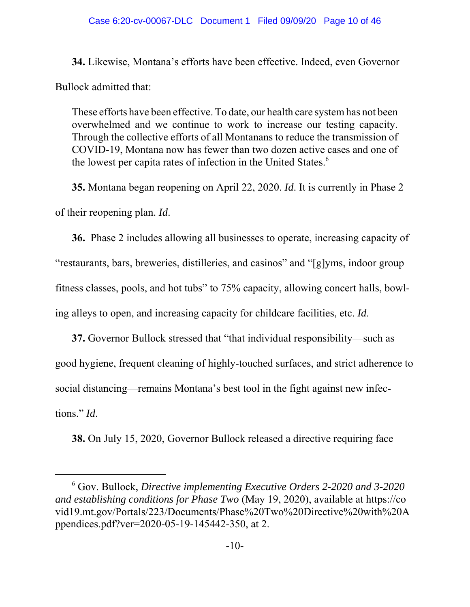**34.** Likewise, Montana's efforts have been effective. Indeed, even Governor Bullock admitted that:

These efforts have been effective. To date, our health care system has not been overwhelmed and we continue to work to increase our testing capacity. Through the collective efforts of all Montanans to reduce the transmission of COVID-19, Montana now has fewer than two dozen active cases and one of the lowest per capita rates of infection in the United States.<sup>6</sup>

**35.** Montana began reopening on April 22, 2020. *Id*. It is currently in Phase 2 of their reopening plan. *Id*.

**36.** Phase 2 includes allowing all businesses to operate, increasing capacity of "restaurants, bars, breweries, distilleries, and casinos" and "[g]yms, indoor group fitness classes, pools, and hot tubs" to 75% capacity, allowing concert halls, bowling alleys to open, and increasing capacity for childcare facilities, etc. *Id*.

**37.** Governor Bullock stressed that "that individual responsibility—such as good hygiene, frequent cleaning of highly-touched surfaces, and strict adherence to social distancing—remains Montana's best tool in the fight against new infections." *Id*.

**38.** On July 15, 2020, Governor Bullock released a directive requiring face

<sup>6</sup> Gov. Bullock, *Directive implementing Executive Orders 2-2020 and 3-2020 and establishing conditions for Phase Two* (May 19, 2020), available at https://co vid19.mt.gov/Portals/223/Documents/Phase%20Two%20Directive%20with%20A ppendices.pdf?ver=2020-05-19-145442-350, at 2.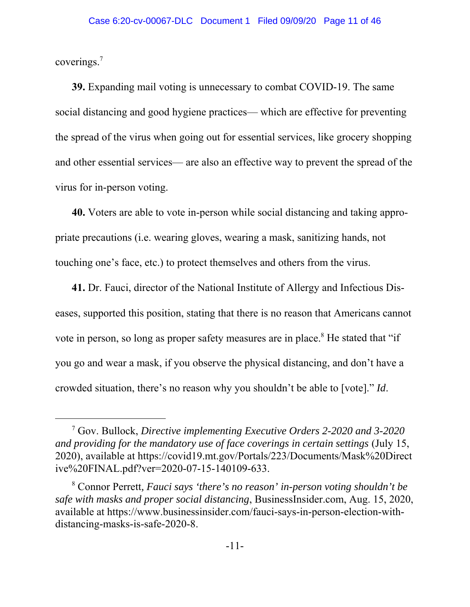coverings.7

**39.** Expanding mail voting is unnecessary to combat COVID-19. The same social distancing and good hygiene practices— which are effective for preventing the spread of the virus when going out for essential services, like grocery shopping and other essential services— are also an effective way to prevent the spread of the virus for in-person voting.

**40.** Voters are able to vote in-person while social distancing and taking appropriate precautions (i.e. wearing gloves, wearing a mask, sanitizing hands, not touching one's face, etc.) to protect themselves and others from the virus.

**41.** Dr. Fauci, director of the National Institute of Allergy and Infectious Diseases, supported this position, stating that there is no reason that Americans cannot vote in person, so long as proper safety measures are in place.<sup>8</sup> He stated that "if you go and wear a mask, if you observe the physical distancing, and don't have a crowded situation, there's no reason why you shouldn't be able to [vote]." *Id*.

<sup>7</sup> Gov. Bullock, *Directive implementing Executive Orders 2-2020 and 3-2020 and providing for the mandatory use of face coverings in certain settings* (July 15, 2020), available at https://covid19.mt.gov/Portals/223/Documents/Mask%20Direct ive%20FINAL.pdf?ver=2020-07-15-140109-633.

<sup>8</sup> Connor Perrett*, Fauci says 'there's no reason' in-person voting shouldn't be safe with masks and proper social distancing*, BusinessInsider.com, Aug. 15, 2020, available at https://www.businessinsider.com/fauci-says-in-person-election-withdistancing-masks-is-safe-2020-8.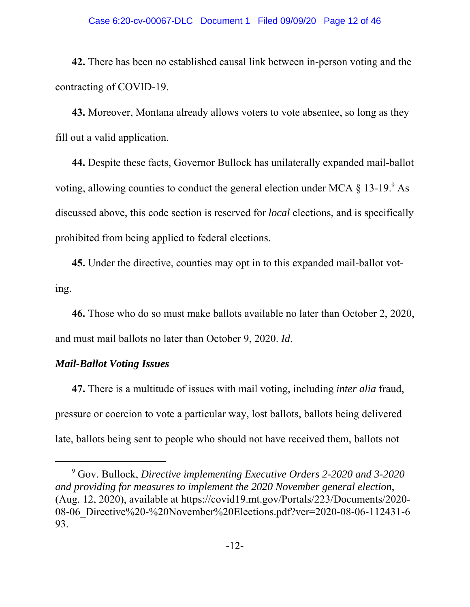#### Case 6:20-cv-00067-DLC Document 1 Filed 09/09/20 Page 12 of 46

**42.** There has been no established causal link between in-person voting and the contracting of COVID-19.

**43.** Moreover, Montana already allows voters to vote absentee, so long as they fill out a valid application.

**44.** Despite these facts, Governor Bullock has unilaterally expanded mail-ballot voting, allowing counties to conduct the general election under MCA  $\S 13$ -19. $\mathrm{P}$ As discussed above, this code section is reserved for *local* elections, and is specifically prohibited from being applied to federal elections.

**45.** Under the directive, counties may opt in to this expanded mail-ballot voting.

**46.** Those who do so must make ballots available no later than October 2, 2020, and must mail ballots no later than October 9, 2020. *Id*.

### *Mail-Ballot Voting Issues*

**47.** There is a multitude of issues with mail voting, including *inter alia* fraud, pressure or coercion to vote a particular way, lost ballots, ballots being delivered late, ballots being sent to people who should not have received them, ballots not

<sup>9</sup> Gov. Bullock, *Directive implementing Executive Orders 2-2020 and 3-2020 and providing for measures to implement the 2020 November general election*, (Aug. 12, 2020), available at https://covid19.mt.gov/Portals/223/Documents/2020- 08-06 Directive%20-%20November%20Elections.pdf?ver=2020-08-06-112431-6 93.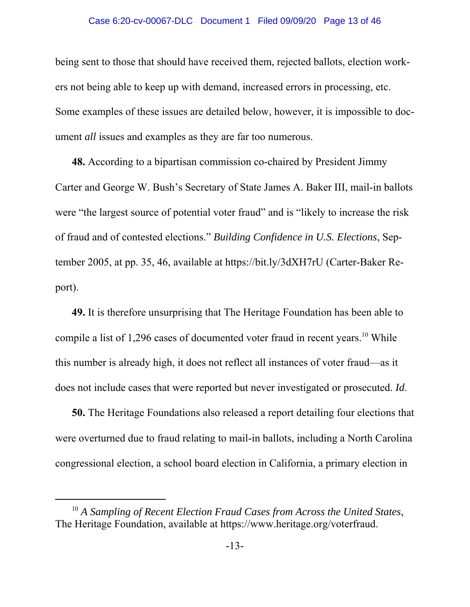#### Case 6:20-cv-00067-DLC Document 1 Filed 09/09/20 Page 13 of 46

being sent to those that should have received them, rejected ballots, election workers not being able to keep up with demand, increased errors in processing, etc. Some examples of these issues are detailed below, however, it is impossible to document *all* issues and examples as they are far too numerous.

**48.** According to a bipartisan commission co-chaired by President Jimmy Carter and George W. Bush's Secretary of State James A. Baker III, mail-in ballots were "the largest source of potential voter fraud" and is "likely to increase the risk of fraud and of contested elections." *Building Confidence in U.S. Elections*, September 2005, at pp. 35, 46, available at https://bit.ly/3dXH7rU (Carter-Baker Report).

**49.** It is therefore unsurprising that The Heritage Foundation has been able to compile a list of  $1,296$  cases of documented voter fraud in recent years.<sup>10</sup> While this number is already high, it does not reflect all instances of voter fraud—as it does not include cases that were reported but never investigated or prosecuted. *Id*.

**50.** The Heritage Foundations also released a report detailing four elections that were overturned due to fraud relating to mail-in ballots, including a North Carolina congressional election, a school board election in California, a primary election in

<sup>10</sup> *A Sampling of Recent Election Fraud Cases from Across the United States*, The Heritage Foundation, available at https://www.heritage.org/voterfraud.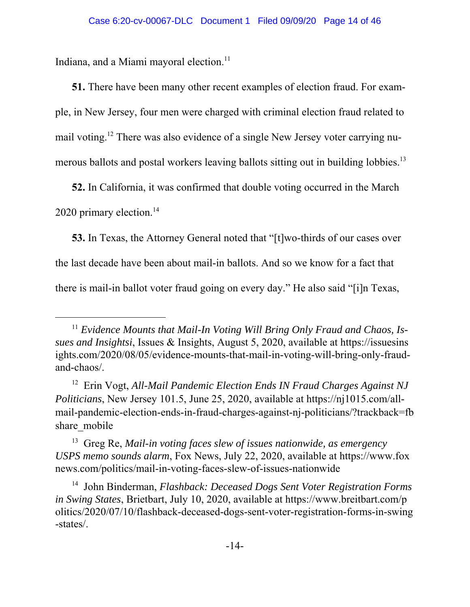Indiana, and a Miami mayoral election.<sup>11</sup>

**51.** There have been many other recent examples of election fraud. For example, in New Jersey, four men were charged with criminal election fraud related to mail voting.12 There was also evidence of a single New Jersey voter carrying numerous ballots and postal workers leaving ballots sitting out in building lobbies.<sup>13</sup>

**52.** In California, it was confirmed that double voting occurred in the March 2020 primary election.<sup>14</sup>

**53.** In Texas, the Attorney General noted that "[t]wo-thirds of our cases over the last decade have been about mail-in ballots. And so we know for a fact that there is mail-in ballot voter fraud going on every day." He also said "[i]n Texas,

13 Greg Re, *Mail-in voting faces slew of issues nationwide, as emergency USPS memo sounds alarm*, Fox News, July 22, 2020, available at https://www.fox news.com/politics/mail-in-voting-faces-slew-of-issues-nationwide

<sup>&</sup>lt;sup>11</sup> Evidence Mounts that Mail-In Voting Will Bring Only Fraud and Chaos, Is*sues and Insightsi*, Issues & Insights, August 5, 2020, available at https://issuesins ights.com/2020/08/05/evidence-mounts-that-mail-in-voting-will-bring-only-fraudand-chaos/.

<sup>12</sup> Erin Vogt, *All-Mail Pandemic Election Ends IN Fraud Charges Against NJ Politicians*, New Jersey 101.5, June 25, 2020, available at https://nj1015.com/allmail-pandemic-election-ends-in-fraud-charges-against-nj-politicians/?trackback=fb share mobile

<sup>14</sup> John Binderman, *Flashback: Deceased Dogs Sent Voter Registration Forms in Swing States*, Brietbart, July 10, 2020, available at https://www.breitbart.com/p olitics/2020/07/10/flashback-deceased-dogs-sent-voter-registration-forms-in-swing -states/.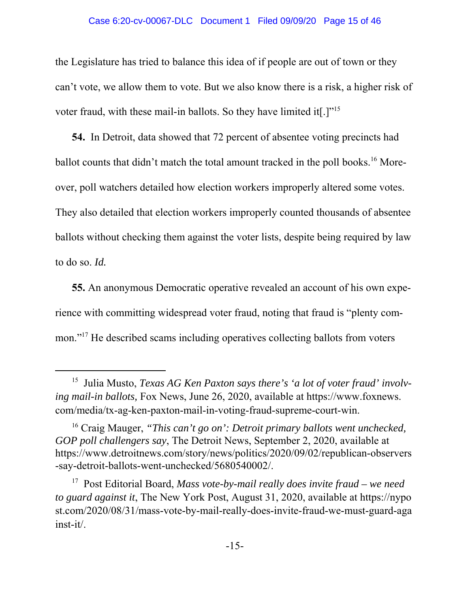#### Case 6:20-cv-00067-DLC Document 1 Filed 09/09/20 Page 15 of 46

the Legislature has tried to balance this idea of if people are out of town or they can't vote, we allow them to vote. But we also know there is a risk, a higher risk of voter fraud, with these mail-in ballots. So they have limited it[.]"15

**54.** In Detroit, data showed that 72 percent of absentee voting precincts had ballot counts that didn't match the total amount tracked in the poll books.<sup>16</sup> Moreover, poll watchers detailed how election workers improperly altered some votes. They also detailed that election workers improperly counted thousands of absentee ballots without checking them against the voter lists, despite being required by law to do so. *Id.*

**55.** An anonymous Democratic operative revealed an account of his own experience with committing widespread voter fraud, noting that fraud is "plenty common."<sup>17</sup> He described scams including operatives collecting ballots from voters

<sup>15</sup> Julia Musto, *Texas AG Ken Paxton says there's 'a lot of voter fraud' involving mail-in ballots,* Fox News, June 26, 2020, available at https://www.foxnews. com/media/tx-ag-ken-paxton-mail-in-voting-fraud-supreme-court-win.

<sup>16</sup> Craig Mauger, *"This can't go on': Detroit primary ballots went unchecked, GOP poll challengers say*, The Detroit News, September 2, 2020, available at https://www.detroitnews.com/story/news/politics/2020/09/02/republican-observers -say-detroit-ballots-went-unchecked/5680540002/.

<sup>17</sup> Post Editorial Board, *Mass vote-by-mail really does invite fraud – we need to guard against it*, The New York Post, August 31, 2020, available at https://nypo st.com/2020/08/31/mass-vote-by-mail-really-does-invite-fraud-we-must-guard-aga inst-it/.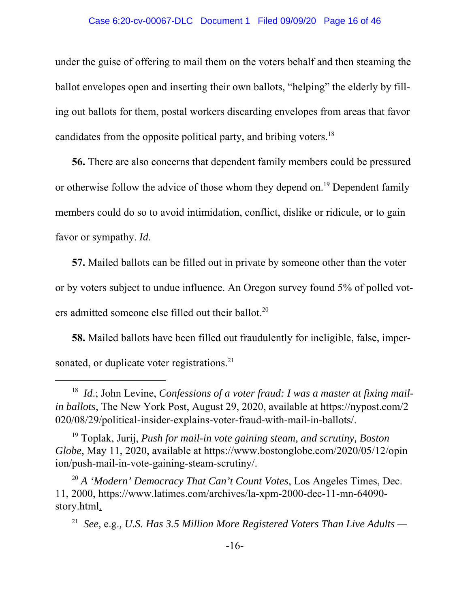#### Case 6:20-cv-00067-DLC Document 1 Filed 09/09/20 Page 16 of 46

under the guise of offering to mail them on the voters behalf and then steaming the ballot envelopes open and inserting their own ballots, "helping" the elderly by filling out ballots for them, postal workers discarding envelopes from areas that favor candidates from the opposite political party, and bribing voters.<sup>18</sup>

**56.** There are also concerns that dependent family members could be pressured or otherwise follow the advice of those whom they depend on.<sup>19</sup> Dependent family members could do so to avoid intimidation, conflict, dislike or ridicule, or to gain favor or sympathy. *Id*.

**57.** Mailed ballots can be filled out in private by someone other than the voter or by voters subject to undue influence. An Oregon survey found 5% of polled voters admitted someone else filled out their ballot.<sup>20</sup>

**58.** Mailed ballots have been filled out fraudulently for ineligible, false, impersonated, or duplicate voter registrations.<sup>21</sup>

<sup>&</sup>lt;sup>18</sup> *Id.*; John Levine, *Confessions of a voter fraud: I was a master at fixing mailin ballots*, The New York Post, August 29, 2020, available at https://nypost.com/2 020/08/29/political-insider-explains-voter-fraud-with-mail-in-ballots/.

<sup>19</sup> Toplak, Jurij, *Push for mail-in vote gaining steam, and scrutiny, Boston Globe*, May 11, 2020, available at https://www.bostonglobe.com/2020/05/12/opin ion/push-mail-in-vote-gaining-steam-scrutiny/.

<sup>20</sup> *A 'Modern' Democracy That Can't Count Votes*, Los Angeles Times, Dec. 11, 2000, https://www.latimes.com/archives/la-xpm-2000-dec-11-mn-64090 story.html.

<sup>21</sup> *See,* e.g.*, U.S. Has 3.5 Million More Registered Voters Than Live Adults —*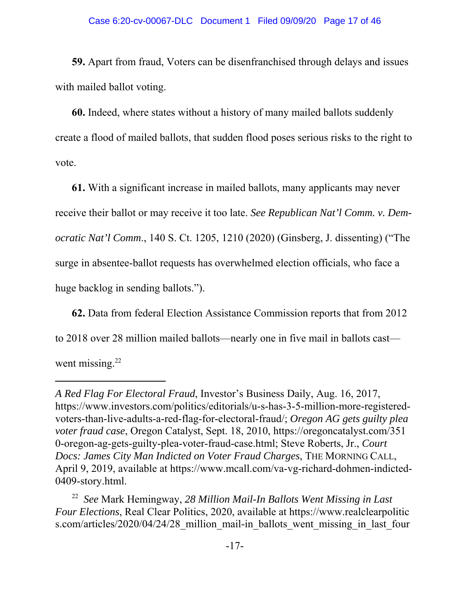**59.** Apart from fraud, Voters can be disenfranchised through delays and issues with mailed ballot voting.

**60.** Indeed, where states without a history of many mailed ballots suddenly create a flood of mailed ballots, that sudden flood poses serious risks to the right to vote.

**61.** With a significant increase in mailed ballots, many applicants may never receive their ballot or may receive it too late. *See Republican Nat'l Comm. v. Democratic Nat'l Comm*., 140 S. Ct. 1205, 1210 (2020) (Ginsberg, J. dissenting) ("The surge in absentee-ballot requests has overwhelmed election officials, who face a huge backlog in sending ballots.").

**62.** Data from federal Election Assistance Commission reports that from 2012 to 2018 over 28 million mailed ballots—nearly one in five mail in ballots cast went missing. $22$ 

*A Red Flag For Electoral Fraud*, Investor's Business Daily, Aug. 16, 2017, https://www.investors.com/politics/editorials/u-s-has-3-5-million-more-registeredvoters-than-live-adults-a-red-flag-for-electoral-fraud/; *Oregon AG gets guilty plea voter fraud case*, Oregon Catalyst, Sept. 18, 2010, https://oregoncatalyst.com/351 0-oregon-ag-gets-guilty-plea-voter-fraud-case.html; Steve Roberts, Jr., *Court Docs: James City Man Indicted on Voter Fraud Charges*, THE MORNING CALL, April 9, 2019, available at https://www.mcall.com/va-vg-richard-dohmen-indicted-0409-story.html.

<sup>22</sup> *See* Mark Hemingway, *28 Million Mail-In Ballots Went Missing in Last Four Elections*, Real Clear Politics, 2020, available at https://www.realclearpolitic s.com/articles/2020/04/24/28 million mail-in ballots went missing in last four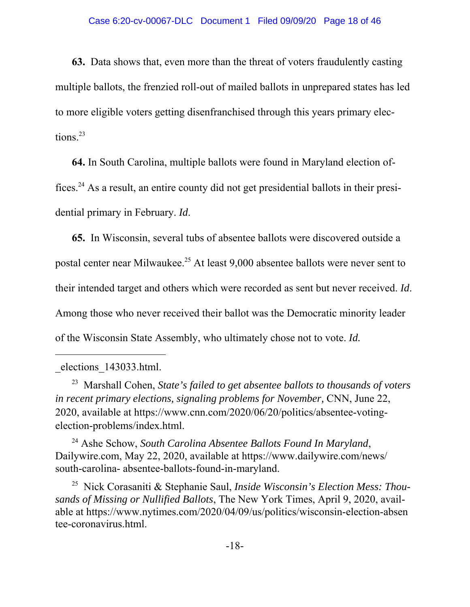**63.** Data shows that, even more than the threat of voters fraudulently casting multiple ballots, the frenzied roll-out of mailed ballots in unprepared states has led to more eligible voters getting disenfranchised through this years primary elections.<sup>23</sup>

**64.** In South Carolina, multiple ballots were found in Maryland election offices.24 As a result, an entire county did not get presidential ballots in their presidential primary in February. *Id*.

**65.** In Wisconsin, several tubs of absentee ballots were discovered outside a postal center near Milwaukee.<sup>25</sup> At least 9,000 absentee ballots were never sent to their intended target and others which were recorded as sent but never received. *Id*. Among those who never received their ballot was the Democratic minority leader of the Wisconsin State Assembly, who ultimately chose not to vote. *Id.*

24 Ashe Schow, *South Carolina Absentee Ballots Found In Maryland*, Dailywire.com, May 22, 2020, available at https://www.dailywire.com/news/ south-carolina- absentee-ballots-found-in-maryland.

25 Nick Corasaniti & Stephanie Saul, *Inside Wisconsin's Election Mess: Thousands of Missing or Nullified Ballots*, The New York Times, April 9, 2020, available at https://www.nytimes.com/2020/04/09/us/politics/wisconsin-election-absen tee-coronavirus.html.

\_elections\_143033.html.

<sup>23</sup> Marshall Cohen, *State's failed to get absentee ballots to thousands of voters in recent primary elections, signaling problems for November,* CNN, June 22, 2020, available at https://www.cnn.com/2020/06/20/politics/absentee-votingelection-problems/index.html.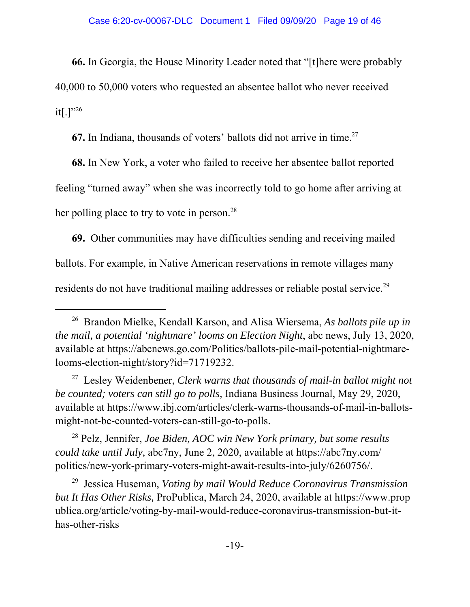**66.** In Georgia, the House Minority Leader noted that "[t]here were probably 40,000 to 50,000 voters who requested an absentee ballot who never received  $it[.]$ "<sup>26</sup>

**67.** In Indiana, thousands of voters' ballots did not arrive in time.<sup>27</sup>

**68.** In New York, a voter who failed to receive her absentee ballot reported feeling "turned away" when she was incorrectly told to go home after arriving at her polling place to try to vote in person.<sup>28</sup>

**69.** Other communities may have difficulties sending and receiving mailed ballots. For example, in Native American reservations in remote villages many residents do not have traditional mailing addresses or reliable postal service.<sup>29</sup>

27 Lesley Weidenbener, *Clerk warns that thousands of mail-in ballot might not be counted; voters can still go to polls,* Indiana Business Journal, May 29, 2020, available at https://www.ibj.com/articles/clerk-warns-thousands-of-mail-in-ballotsmight-not-be-counted-voters-can-still-go-to-polls.

28 Pelz, Jennifer, *Joe Biden, AOC win New York primary, but some results could take until July,* abc7ny, June 2, 2020, available at https://abc7ny.com/ politics/new-york-primary-voters-might-await-results-into-july/6260756/.

29 Jessica Huseman, *Voting by mail Would Reduce Coronavirus Transmission but It Has Other Risks,* ProPublica, March 24, 2020, available at https://www.prop ublica.org/article/voting-by-mail-would-reduce-coronavirus-transmission-but-ithas-other-risks

<sup>26</sup> Brandon Mielke, Kendall Karson, and Alisa Wiersema, *As ballots pile up in the mail, a potential 'nightmare' looms on Election Night*, abc news, July 13, 2020, available at https://abcnews.go.com/Politics/ballots-pile-mail-potential-nightmarelooms-election-night/story?id=71719232.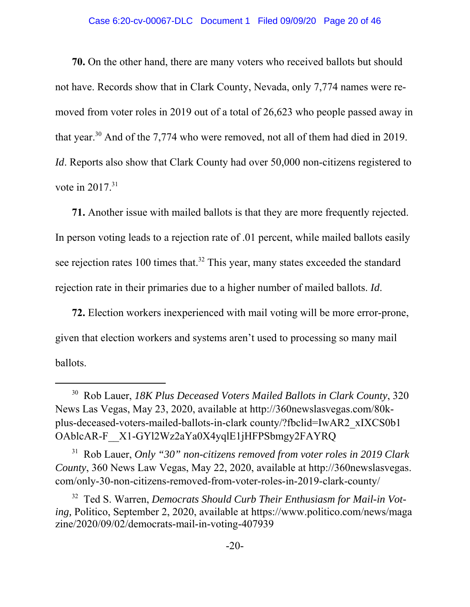**70.** On the other hand, there are many voters who received ballots but should not have. Records show that in Clark County, Nevada, only 7,774 names were removed from voter roles in 2019 out of a total of 26,623 who people passed away in that year.<sup>30</sup> And of the 7,774 who were removed, not all of them had died in 2019. *Id*. Reports also show that Clark County had over 50,000 non-citizens registered to vote in  $2017$ <sup>31</sup>

**71.** Another issue with mailed ballots is that they are more frequently rejected. In person voting leads to a rejection rate of .01 percent, while mailed ballots easily see rejection rates 100 times that.<sup>32</sup> This year, many states exceeded the standard rejection rate in their primaries due to a higher number of mailed ballots. *Id*.

**72.** Election workers inexperienced with mail voting will be more error-prone, given that election workers and systems aren't used to processing so many mail ballots.

31 Rob Lauer, *Only "30" non-citizens removed from voter roles in 2019 Clark County*, 360 News Law Vegas, May 22, 2020, available at http://360newslasvegas. com/only-30-non-citizens-removed-from-voter-roles-in-2019-clark-county/

<sup>30</sup> Rob Lauer, *18K Plus Deceased Voters Mailed Ballots in Clark County*, 320 News Las Vegas, May 23, 2020, available at http://360newslasvegas.com/80kplus-deceased-voters-mailed-ballots-in-clark county/?fbclid=IwAR2\_xIXCS0b1 OAblcAR-F\_\_X1-GYl2Wz2aYa0X4yqlE1jHFPSbmgy2FAYRQ

<sup>32</sup> Ted S. Warren, *Democrats Should Curb Their Enthusiasm for Mail-in Voting,* Politico, September 2, 2020, available at https://www.politico.com/news/maga zine/2020/09/02/democrats-mail-in-voting-407939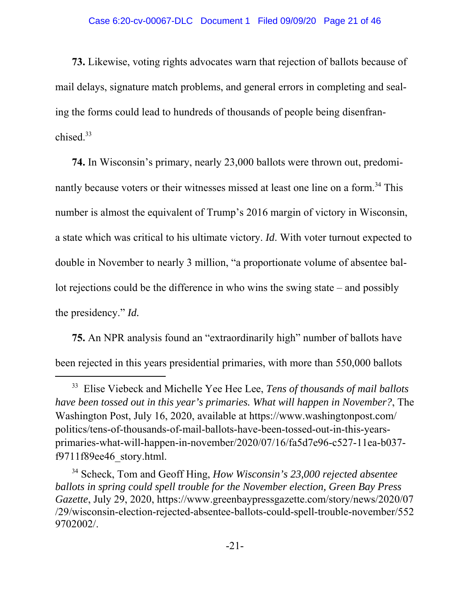**73.** Likewise, voting rights advocates warn that rejection of ballots because of mail delays, signature match problems, and general errors in completing and sealing the forms could lead to hundreds of thousands of people being disenfranchised.33

**74.** In Wisconsin's primary, nearly 23,000 ballots were thrown out, predominantly because voters or their witnesses missed at least one line on a form.<sup>34</sup> This number is almost the equivalent of Trump's 2016 margin of victory in Wisconsin, a state which was critical to his ultimate victory. *Id*. With voter turnout expected to double in November to nearly 3 million, "a proportionate volume of absentee ballot rejections could be the difference in who wins the swing state – and possibly the presidency." *Id.*

**75.** An NPR analysis found an "extraordinarily high" number of ballots have been rejected in this years presidential primaries, with more than 550,000 ballots

<sup>33</sup> Elise Viebeck and Michelle Yee Hee Lee, *Tens of thousands of mail ballots have been tossed out in this year's primaries. What will happen in November?*, The Washington Post, July 16, 2020, available at https://www.washingtonpost.com/ politics/tens-of-thousands-of-mail-ballots-have-been-tossed-out-in-this-yearsprimaries-what-will-happen-in-november/2020/07/16/fa5d7e96-c527-11ea-b037 f9711f89ee46\_story.html.

<sup>34</sup> Scheck, Tom and Geoff Hing, *How Wisconsin's 23,000 rejected absentee ballots in spring could spell trouble for the November election, Green Bay Press Gazette*, July 29, 2020, https://www.greenbaypressgazette.com/story/news/2020/07 /29/wisconsin-election-rejected-absentee-ballots-could-spell-trouble-november/552 9702002/.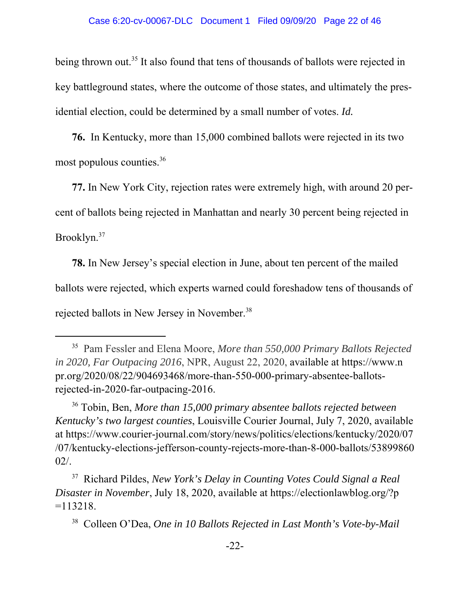being thrown out.<sup>35</sup> It also found that tens of thousands of ballots were rejected in key battleground states, where the outcome of those states, and ultimately the presidential election, could be determined by a small number of votes. *Id.*

**76.** In Kentucky, more than 15,000 combined ballots were rejected in its two most populous counties.36

**77.** In New York City, rejection rates were extremely high, with around 20 percent of ballots being rejected in Manhattan and nearly 30 percent being rejected in Brooklyn.37

**78.** In New Jersey's special election in June, about ten percent of the mailed ballots were rejected, which experts warned could foreshadow tens of thousands of rejected ballots in New Jersey in November.<sup>38</sup>

<sup>35</sup> Pam Fessler and Elena Moore, *More than 550,000 Primary Ballots Rejected in 2020, Far Outpacing 2016*, NPR, August 22, 2020, available at https://www.n pr.org/2020/08/22/904693468/more-than-550-000-primary-absentee-ballotsrejected-in-2020-far-outpacing-2016.

<sup>36</sup> Tobin, Ben, *More than 15,000 primary absentee ballots rejected between Kentucky's two largest counties*, Louisville Courier Journal, July 7, 2020, available at https://www.courier-journal.com/story/news/politics/elections/kentucky/2020/07 /07/kentucky-elections-jefferson-county-rejects-more-than-8-000-ballots/53899860 02/.

<sup>37</sup> Richard Pildes, *New York's Delay in Counting Votes Could Signal a Real Disaster in November*, July 18, 2020, available at https://electionlawblog.org/?p  $=113218.$ 

<sup>38</sup> Colleen O'Dea, *One in 10 Ballots Rejected in Last Month's Vote-by-Mail*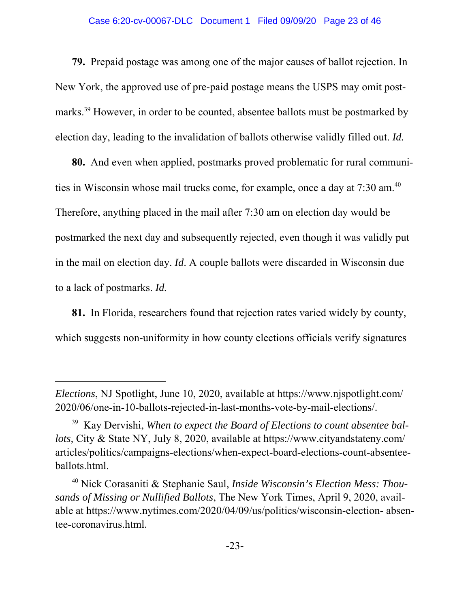#### Case 6:20-cv-00067-DLC Document 1 Filed 09/09/20 Page 23 of 46

**79.** Prepaid postage was among one of the major causes of ballot rejection. In New York, the approved use of pre-paid postage means the USPS may omit postmarks.39 However, in order to be counted, absentee ballots must be postmarked by election day, leading to the invalidation of ballots otherwise validly filled out. *Id.*

**80.** And even when applied, postmarks proved problematic for rural communities in Wisconsin whose mail trucks come, for example, once a day at 7:30 am.<sup>40</sup> Therefore, anything placed in the mail after 7:30 am on election day would be postmarked the next day and subsequently rejected, even though it was validly put in the mail on election day. *Id*. A couple ballots were discarded in Wisconsin due to a lack of postmarks. *Id.*

**81.** In Florida, researchers found that rejection rates varied widely by county, which suggests non-uniformity in how county elections officials verify signatures

*Elections*, NJ Spotlight, June 10, 2020, available at https://www.njspotlight.com/ 2020/06/one-in-10-ballots-rejected-in-last-months-vote-by-mail-elections/.

<sup>39</sup> Kay Dervishi, *When to expect the Board of Elections to count absentee ballots,* City & State NY, July 8, 2020, available at https://www.cityandstateny.com/ articles/politics/campaigns-elections/when-expect-board-elections-count-absenteeballots.html.

<sup>40</sup> Nick Corasaniti & Stephanie Saul, *Inside Wisconsin's Election Mess: Thousands of Missing or Nullified Ballots*, The New York Times, April 9, 2020, available at https://www.nytimes.com/2020/04/09/us/politics/wisconsin-election- absentee-coronavirus.html.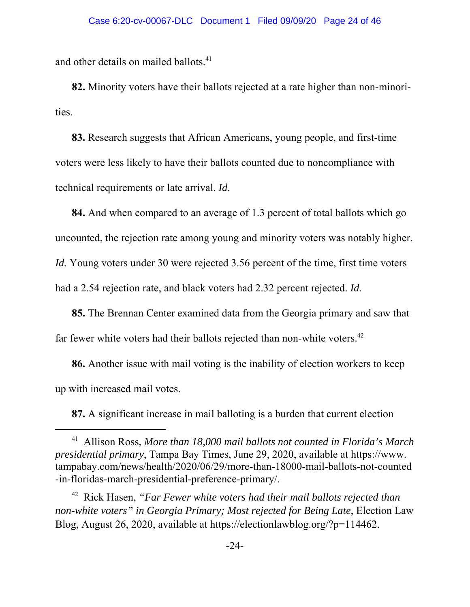and other details on mailed ballots.<sup>41</sup>

**82.** Minority voters have their ballots rejected at a rate higher than non-minorities.

**83.** Research suggests that African Americans, young people, and first-time voters were less likely to have their ballots counted due to noncompliance with technical requirements or late arrival. *Id*.

**84.** And when compared to an average of 1.3 percent of total ballots which go uncounted, the rejection rate among young and minority voters was notably higher. *Id.* Young voters under 30 were rejected 3.56 percent of the time, first time voters had a 2.54 rejection rate, and black voters had 2.32 percent rejected. *Id.*

**85.** The Brennan Center examined data from the Georgia primary and saw that far fewer white voters had their ballots rejected than non-white voters.<sup>42</sup>

**86.** Another issue with mail voting is the inability of election workers to keep up with increased mail votes.

**87.** A significant increase in mail balloting is a burden that current election

<sup>41</sup> Allison Ross, *More than 18,000 mail ballots not counted in Florida's March presidential primary*, Tampa Bay Times, June 29, 2020, available at https://www. tampabay.com/news/health/2020/06/29/more-than-18000-mail-ballots-not-counted -in-floridas-march-presidential-preference-primary/.

<sup>42</sup> Rick Hasen, *"Far Fewer white voters had their mail ballots rejected than non-white voters" in Georgia Primary; Most rejected for Being Late*, Election Law Blog, August 26, 2020, available at https://electionlawblog.org/?p=114462.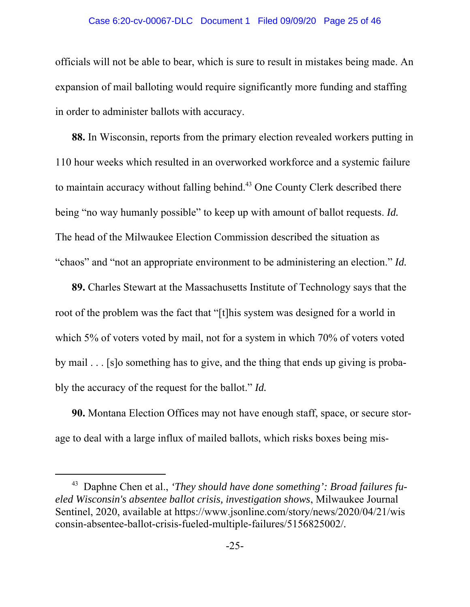#### Case 6:20-cv-00067-DLC Document 1 Filed 09/09/20 Page 25 of 46

officials will not be able to bear, which is sure to result in mistakes being made. An expansion of mail balloting would require significantly more funding and staffing in order to administer ballots with accuracy.

**88.** In Wisconsin, reports from the primary election revealed workers putting in 110 hour weeks which resulted in an overworked workforce and a systemic failure to maintain accuracy without falling behind.<sup>43</sup> One County Clerk described there being "no way humanly possible" to keep up with amount of ballot requests. *Id.* The head of the Milwaukee Election Commission described the situation as "chaos" and "not an appropriate environment to be administering an election." *Id.*

**89.** Charles Stewart at the Massachusetts Institute of Technology says that the root of the problem was the fact that "[t]his system was designed for a world in which 5% of voters voted by mail, not for a system in which 70% of voters voted by mail . . . [s]o something has to give, and the thing that ends up giving is probably the accuracy of the request for the ballot." *Id.*

**90.** Montana Election Offices may not have enough staff, space, or secure storage to deal with a large influx of mailed ballots, which risks boxes being mis-

<sup>43</sup> Daphne Chen et al., *'They should have done something': Broad failures fueled Wisconsin's absentee ballot crisis, investigation shows*, Milwaukee Journal Sentinel, 2020, available at https://www.jsonline.com/story/news/2020/04/21/wis consin-absentee-ballot-crisis-fueled-multiple-failures/5156825002/*.*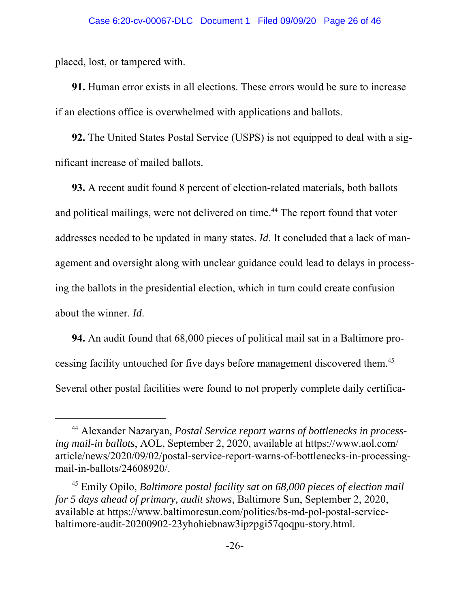placed, lost, or tampered with.

**91.** Human error exists in all elections. These errors would be sure to increase if an elections office is overwhelmed with applications and ballots.

**92.** The United States Postal Service (USPS) is not equipped to deal with a significant increase of mailed ballots.

**93.** A recent audit found 8 percent of election-related materials, both ballots and political mailings, were not delivered on time.<sup>44</sup> The report found that voter addresses needed to be updated in many states. *Id*. It concluded that a lack of management and oversight along with unclear guidance could lead to delays in processing the ballots in the presidential election, which in turn could create confusion about the winner. *Id*.

**94.** An audit found that 68,000 pieces of political mail sat in a Baltimore processing facility untouched for five days before management discovered them.45 Several other postal facilities were found to not properly complete daily certifica-

<sup>44</sup> Alexander Nazaryan, *Postal Service report warns of bottlenecks in processing mail-in ballots*, AOL, September 2, 2020, available at https://www.aol.com/ article/news/2020/09/02/postal-service-report-warns-of-bottlenecks-in-processingmail-in-ballots/24608920/.

<sup>45</sup> Emily Opilo, *Baltimore postal facility sat on 68,000 pieces of election mail for 5 days ahead of primary, audit shows*, Baltimore Sun, September 2, 2020, available at https://www.baltimoresun.com/politics/bs-md-pol-postal-servicebaltimore-audit-20200902-23yhohiebnaw3ipzpgi57qoqpu-story.html.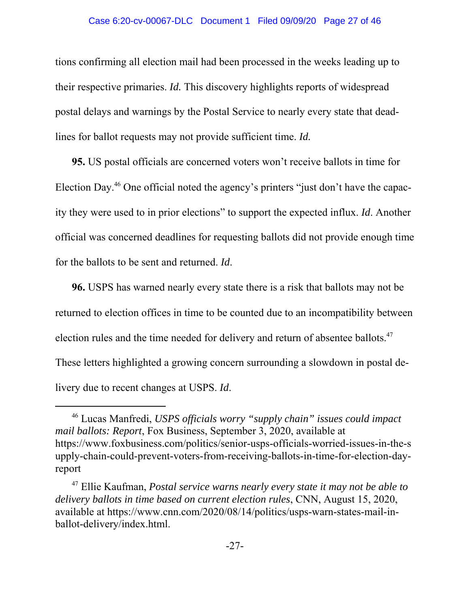#### Case 6:20-cv-00067-DLC Document 1 Filed 09/09/20 Page 27 of 46

tions confirming all election mail had been processed in the weeks leading up to their respective primaries. *Id.* This discovery highlights reports of widespread postal delays and warnings by the Postal Service to nearly every state that deadlines for ballot requests may not provide sufficient time. *Id.*

**95.** US postal officials are concerned voters won't receive ballots in time for Election Day.46 One official noted the agency's printers "just don't have the capacity they were used to in prior elections" to support the expected influx. *Id*. Another official was concerned deadlines for requesting ballots did not provide enough time for the ballots to be sent and returned. *Id*.

**96.** USPS has warned nearly every state there is a risk that ballots may not be returned to election offices in time to be counted due to an incompatibility between election rules and the time needed for delivery and return of absentee ballots.<sup>47</sup> These letters highlighted a growing concern surrounding a slowdown in postal delivery due to recent changes at USPS. *Id*.

<sup>46</sup> Lucas Manfredi, *USPS officials worry "supply chain" issues could impact mail ballots: Report*, Fox Business, September 3, 2020, available at https://www.foxbusiness.com/politics/senior-usps-officials-worried-issues-in-the-s upply-chain-could-prevent-voters-from-receiving-ballots-in-time-for-election-dayreport

<sup>47</sup> Ellie Kaufman, *Postal service warns nearly every state it may not be able to delivery ballots in time based on current election rules*, CNN, August 15, 2020, available at https://www.cnn.com/2020/08/14/politics/usps-warn-states-mail-inballot-delivery/index.html.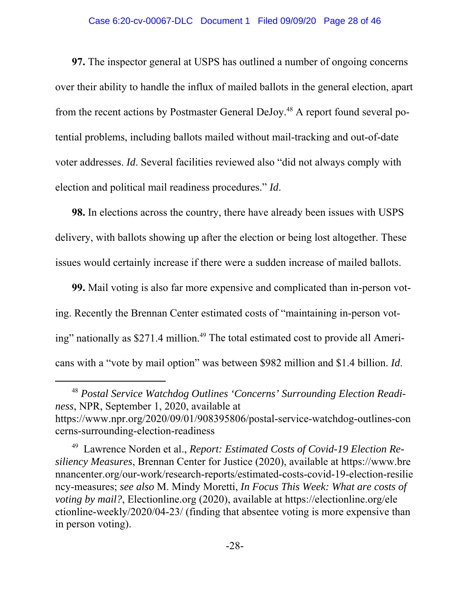#### Case 6:20-cv-00067-DLC Document 1 Filed 09/09/20 Page 28 of 46

**97.** The inspector general at USPS has outlined a number of ongoing concerns over their ability to handle the influx of mailed ballots in the general election, apart from the recent actions by Postmaster General DeJoy.<sup>48</sup> A report found several potential problems, including ballots mailed without mail-tracking and out-of-date voter addresses. *Id*. Several facilities reviewed also "did not always comply with election and political mail readiness procedures." *Id*.

**98.** In elections across the country, there have already been issues with USPS delivery, with ballots showing up after the election or being lost altogether. These issues would certainly increase if there were a sudden increase of mailed ballots.

**99.** Mail voting is also far more expensive and complicated than in-person voting. Recently the Brennan Center estimated costs of "maintaining in-person voting" nationally as \$271.4 million.<sup>49</sup> The total estimated cost to provide all Americans with a "vote by mail option" was between \$982 million and \$1.4 billion. *Id*.

<sup>48</sup> *Postal Service Watchdog Outlines 'Concerns' Surrounding Election Readiness*, NPR, September 1, 2020, available at https://www.npr.org/2020/09/01/908395806/postal-service-watchdog-outlines-con cerns-surrounding-election-readiness

<sup>49</sup> Lawrence Norden et al., *Report: Estimated Costs of Covid-19 Election Resiliency Measures*, Brennan Center for Justice (2020), available at https://www.bre nnancenter.org/our-work/research-reports/estimated-costs-covid-19-election-resilie ncy-measures; *see also* M. Mindy Moretti, *In Focus This Week: What are costs of voting by mail?*, Electionline.org (2020), available at https://electionline.org/ele ctionline-weekly/2020/04-23/ (finding that absentee voting is more expensive than in person voting).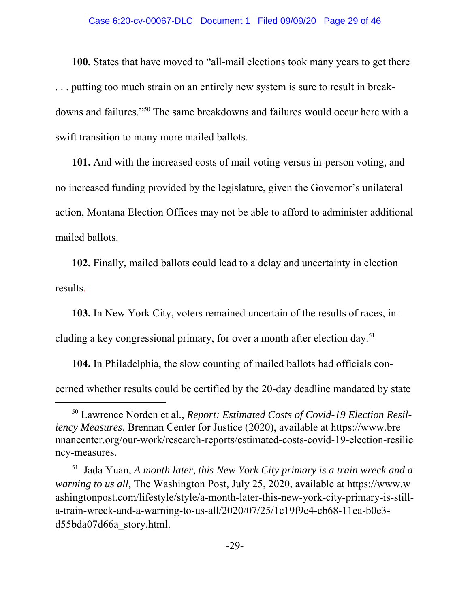#### Case 6:20-cv-00067-DLC Document 1 Filed 09/09/20 Page 29 of 46

**100.** States that have moved to "all-mail elections took many years to get there . . . putting too much strain on an entirely new system is sure to result in breakdowns and failures."50 The same breakdowns and failures would occur here with a swift transition to many more mailed ballots.

**101.** And with the increased costs of mail voting versus in-person voting, and no increased funding provided by the legislature, given the Governor's unilateral action, Montana Election Offices may not be able to afford to administer additional mailed ballots.

**102.** Finally, mailed ballots could lead to a delay and uncertainty in election results.

**103.** In New York City, voters remained uncertain of the results of races, including a key congressional primary, for over a month after election day.<sup>51</sup>

**104.** In Philadelphia, the slow counting of mailed ballots had officials concerned whether results could be certified by the 20-day deadline mandated by state

<sup>50</sup> Lawrence Norden et al., *Report: Estimated Costs of Covid-19 Election Resiliency Measures*, Brennan Center for Justice (2020), available at https://www.bre nnancenter.org/our-work/research-reports/estimated-costs-covid-19-election-resilie ncy-measures.

<sup>51</sup> Jada Yuan, *A month later, this New York City primary is a train wreck and a warning to us all*, The Washington Post, July 25, 2020, available at https://www.w ashingtonpost.com/lifestyle/style/a-month-later-this-new-york-city-primary-is-stilla-train-wreck-and-a-warning-to-us-all/2020/07/25/1c19f9c4-cb68-11ea-b0e3 d55bda07d66a\_story.html.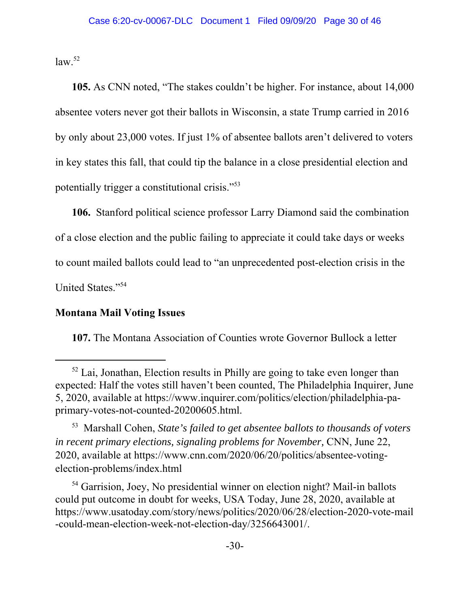$law.<sup>52</sup>$ 

**105.** As CNN noted, "The stakes couldn't be higher. For instance, about 14,000 absentee voters never got their ballots in Wisconsin, a state Trump carried in 2016 by only about 23,000 votes. If just 1% of absentee ballots aren't delivered to voters in key states this fall, that could tip the balance in a close presidential election and potentially trigger a constitutional crisis."53

**106.** Stanford political science professor Larry Diamond said the combination of a close election and the public failing to appreciate it could take days or weeks to count mailed ballots could lead to "an unprecedented post-election crisis in the United States."54

## **Montana Mail Voting Issues**

**107.** The Montana Association of Counties wrote Governor Bullock a letter

<sup>54</sup> Garrision, Joey, No presidential winner on election night? Mail-in ballots could put outcome in doubt for weeks, USA Today, June 28, 2020, available at https://www.usatoday.com/story/news/politics/2020/06/28/election-2020-vote-mail -could-mean-election-week-not-election-day/3256643001/.

 $52$  Lai, Jonathan, Election results in Philly are going to take even longer than expected: Half the votes still haven't been counted, The Philadelphia Inquirer, June 5, 2020, available at https://www.inquirer.com/politics/election/philadelphia-paprimary-votes-not-counted-20200605.html.

<sup>53</sup> Marshall Cohen, *State's failed to get absentee ballots to thousands of voters in recent primary elections, signaling problems for November,* CNN, June 22, 2020, available at https://www.cnn.com/2020/06/20/politics/absentee-votingelection-problems/index.html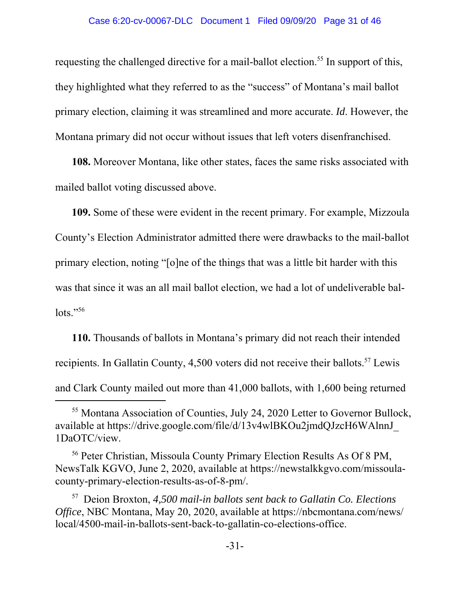requesting the challenged directive for a mail-ballot election.<sup>55</sup> In support of this, they highlighted what they referred to as the "success" of Montana's mail ballot primary election, claiming it was streamlined and more accurate. *Id*. However, the Montana primary did not occur without issues that left voters disenfranchised.

**108.** Moreover Montana, like other states, faces the same risks associated with mailed ballot voting discussed above.

**109.** Some of these were evident in the recent primary. For example, Mizzoula County's Election Administrator admitted there were drawbacks to the mail-ballot primary election, noting "[o]ne of the things that was a little bit harder with this was that since it was an all mail ballot election, we had a lot of undeliverable bal- $\text{lots.}$ "<sup>56</sup>

**110.** Thousands of ballots in Montana's primary did not reach their intended recipients. In Gallatin County, 4,500 voters did not receive their ballots.<sup>57</sup> Lewis and Clark County mailed out more than 41,000 ballots, with 1,600 being returned

<sup>55</sup> Montana Association of Counties, July 24, 2020 Letter to Governor Bullock, available at https://drive.google.com/file/d/13v4wlBKOu2jmdQJzcH6WAlnnJ\_ 1DaOTC/view.

<sup>56</sup> Peter Christian, Missoula County Primary Election Results As Of 8 PM, NewsTalk KGVO, June 2, 2020, available at https://newstalkkgvo.com/missoulacounty-primary-election-results-as-of-8-pm/.

<sup>57</sup> Deion Broxton, *4,500 mail-in ballots sent back to Gallatin Co. Elections Office*, NBC Montana, May 20, 2020, available at https://nbcmontana.com/news/ local/4500-mail-in-ballots-sent-back-to-gallatin-co-elections-office.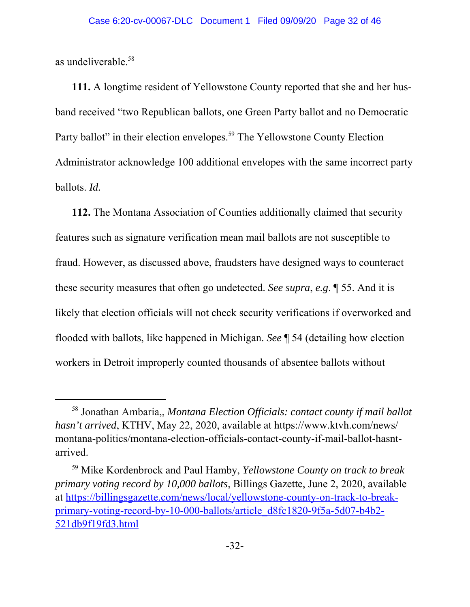as undeliverable.58

**111.** A longtime resident of Yellowstone County reported that she and her husband received "two Republican ballots, one Green Party ballot and no Democratic Party ballot" in their election envelopes.<sup>59</sup> The Yellowstone County Election Administrator acknowledge 100 additional envelopes with the same incorrect party ballots. *Id.*

**112.** The Montana Association of Counties additionally claimed that security features such as signature verification mean mail ballots are not susceptible to fraud. However, as discussed above, fraudsters have designed ways to counteract these security measures that often go undetected. *See supra*, *e.g*. ¶ 55. And it is likely that election officials will not check security verifications if overworked and flooded with ballots, like happened in Michigan. *See* ¶ 54 (detailing how election workers in Detroit improperly counted thousands of absentee ballots without

<sup>58</sup> Jonathan Ambaria,, *Montana Election Officials: contact county if mail ballot hasn't arrived*, KTHV, May 22, 2020, available at https://www.ktvh.com/news/ montana-politics/montana-election-officials-contact-county-if-mail-ballot-hasntarrived.

<sup>59</sup> Mike Kordenbrock and Paul Hamby, *Yellowstone County on track to break primary voting record by 10,000 ballots*, Billings Gazette, June 2, 2020, available at https://billingsgazette.com/news/local/yellowstone-county-on-track-to-breakprimary-voting-record-by-10-000-ballots/article\_d8fc1820-9f5a-5d07-b4b2- 521db9f19fd3.html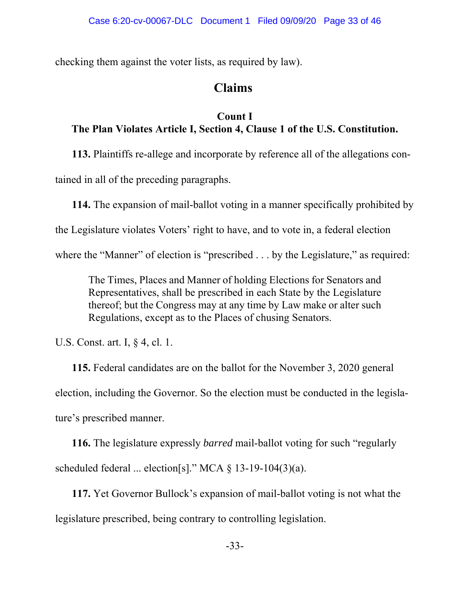checking them against the voter lists, as required by law).

# **Claims**

# **Count I The Plan Violates Article I, Section 4, Clause 1 of the U.S. Constitution.**

**113.** Plaintiffs re-allege and incorporate by reference all of the allegations con-

tained in all of the preceding paragraphs.

**114.** The expansion of mail-ballot voting in a manner specifically prohibited by

the Legislature violates Voters' right to have, and to vote in, a federal election

where the "Manner" of election is "prescribed . . . by the Legislature," as required:

The Times, Places and Manner of holding Elections for Senators and Representatives, shall be prescribed in each State by the Legislature thereof; but the Congress may at any time by Law make or alter such Regulations, except as to the Places of chusing Senators.

U.S. Const. art. I, § 4, cl. 1.

**115.** Federal candidates are on the ballot for the November 3, 2020 general election, including the Governor. So the election must be conducted in the legislature's prescribed manner.

**116.** The legislature expressly *barred* mail-ballot voting for such "regularly scheduled federal ... election[s]." MCA § 13-19-104(3)(a).

**117.** Yet Governor Bullock's expansion of mail-ballot voting is not what the legislature prescribed, being contrary to controlling legislation.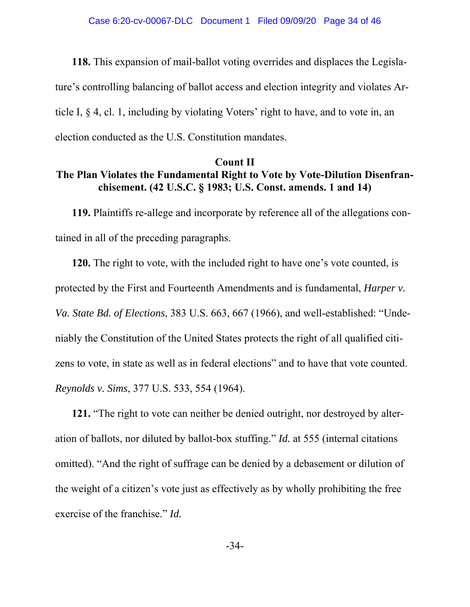**118.** This expansion of mail-ballot voting overrides and displaces the Legislature's controlling balancing of ballot access and election integrity and violates Article I, § 4, cl. 1, including by violating Voters' right to have, and to vote in, an election conducted as the U.S. Constitution mandates.

## **Count II The Plan Violates the Fundamental Right to Vote by Vote-Dilution Disenfranchisement. (42 U.S.C. § 1983; U.S. Const. amends. 1 and 14)**

**119.** Plaintiffs re-allege and incorporate by reference all of the allegations contained in all of the preceding paragraphs.

**120.** The right to vote, with the included right to have one's vote counted, is protected by the First and Fourteenth Amendments and is fundamental, *Harper v. Va. State Bd. of Elections*, 383 U.S. 663, 667 (1966), and well-established: "Undeniably the Constitution of the United States protects the right of all qualified citizens to vote, in state as well as in federal elections" and to have that vote counted. *Reynolds v. Sims*, 377 U.S. 533, 554 (1964).

**121.** "The right to vote can neither be denied outright, nor destroyed by alteration of ballots, nor diluted by ballot-box stuffing." *Id.* at 555 (internal citations omitted). "And the right of suffrage can be denied by a debasement or dilution of the weight of a citizen's vote just as effectively as by wholly prohibiting the free exercise of the franchise." *Id.*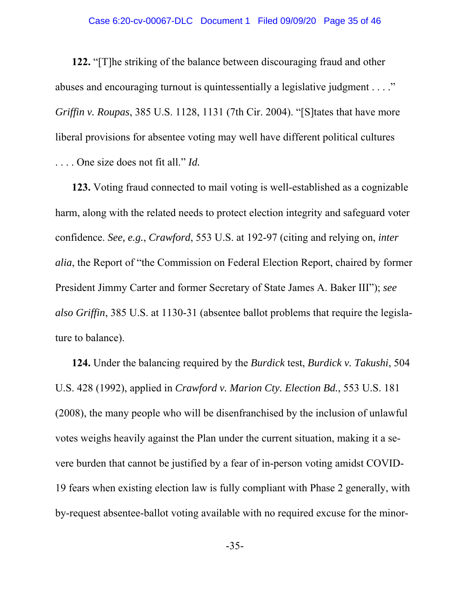**122.** "[T]he striking of the balance between discouraging fraud and other abuses and encouraging turnout is quintessentially a legislative judgment . . . ." *Griffin v. Roupas*, 385 U.S. 1128, 1131 (7th Cir. 2004). "[S]tates that have more liberal provisions for absentee voting may well have different political cultures . . . . One size does not fit all." *Id.*

**123.** Voting fraud connected to mail voting is well-established as a cognizable harm, along with the related needs to protect election integrity and safeguard voter confidence. *See, e.g.*, *Crawford*, 553 U.S. at 192-97 (citing and relying on, *inter alia*, the Report of "the Commission on Federal Election Report, chaired by former President Jimmy Carter and former Secretary of State James A. Baker III"); *see also Griffin*, 385 U.S. at 1130-31 (absentee ballot problems that require the legislature to balance).

**124.** Under the balancing required by the *Burdick* test, *Burdick v. Takushi*, 504 U.S. 428 (1992), applied in *Crawford v. Marion Cty. Election Bd.*, 553 U.S. 181 (2008), the many people who will be disenfranchised by the inclusion of unlawful votes weighs heavily against the Plan under the current situation, making it a severe burden that cannot be justified by a fear of in-person voting amidst COVID-19 fears when existing election law is fully compliant with Phase 2 generally, with by-request absentee-ballot voting available with no required excuse for the minor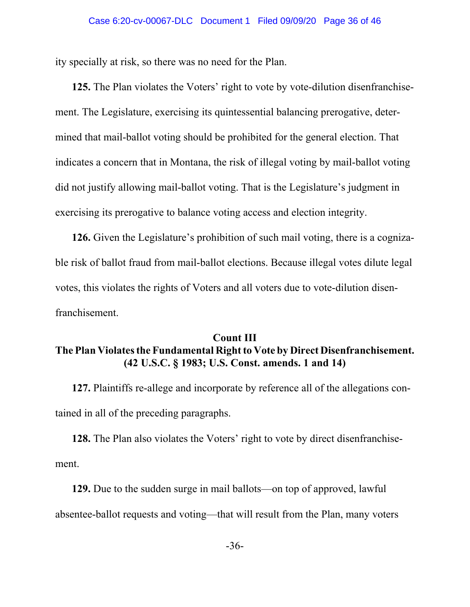ity specially at risk, so there was no need for the Plan.

**125.** The Plan violates the Voters' right to vote by vote-dilution disenfranchisement. The Legislature, exercising its quintessential balancing prerogative, determined that mail-ballot voting should be prohibited for the general election. That indicates a concern that in Montana, the risk of illegal voting by mail-ballot voting did not justify allowing mail-ballot voting. That is the Legislature's judgment in exercising its prerogative to balance voting access and election integrity.

**126.** Given the Legislature's prohibition of such mail voting, there is a cognizable risk of ballot fraud from mail-ballot elections. Because illegal votes dilute legal votes, this violates the rights of Voters and all voters due to vote-dilution disenfranchisement.

## **Count III The Plan Violates the Fundamental Right to Vote by Direct Disenfranchisement. (42 U.S.C. § 1983; U.S. Const. amends. 1 and 14)**

**127.** Plaintiffs re-allege and incorporate by reference all of the allegations contained in all of the preceding paragraphs.

**128.** The Plan also violates the Voters' right to vote by direct disenfranchisement.

**129.** Due to the sudden surge in mail ballots—on top of approved, lawful absentee-ballot requests and voting—that will result from the Plan, many voters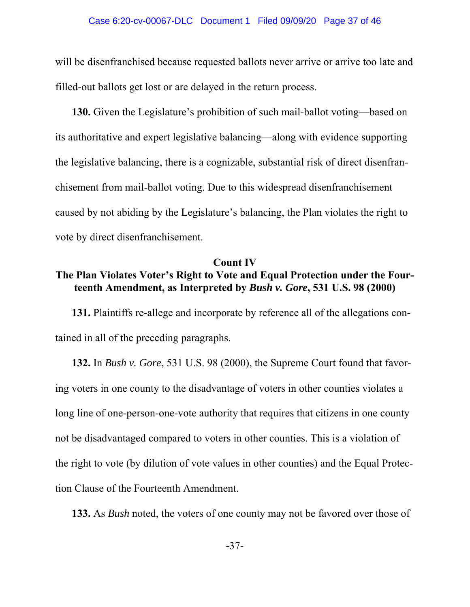will be disenfranchised because requested ballots never arrive or arrive too late and filled-out ballots get lost or are delayed in the return process.

**130.** Given the Legislature's prohibition of such mail-ballot voting—based on its authoritative and expert legislative balancing—along with evidence supporting the legislative balancing, there is a cognizable, substantial risk of direct disenfranchisement from mail-ballot voting. Due to this widespread disenfranchisement caused by not abiding by the Legislature's balancing, the Plan violates the right to vote by direct disenfranchisement.

#### **Count IV**

# **The Plan Violates Voter's Right to Vote and Equal Protection under the Fourteenth Amendment, as Interpreted by** *Bush v. Gore***, 531 U.S. 98 (2000)**

**131.** Plaintiffs re-allege and incorporate by reference all of the allegations contained in all of the preceding paragraphs.

**132.** In *Bush v. Gore*, 531 U.S. 98 (2000), the Supreme Court found that favoring voters in one county to the disadvantage of voters in other counties violates a long line of one-person-one-vote authority that requires that citizens in one county not be disadvantaged compared to voters in other counties. This is a violation of the right to vote (by dilution of vote values in other counties) and the Equal Protection Clause of the Fourteenth Amendment.

**133.** As *Bush* noted, the voters of one county may not be favored over those of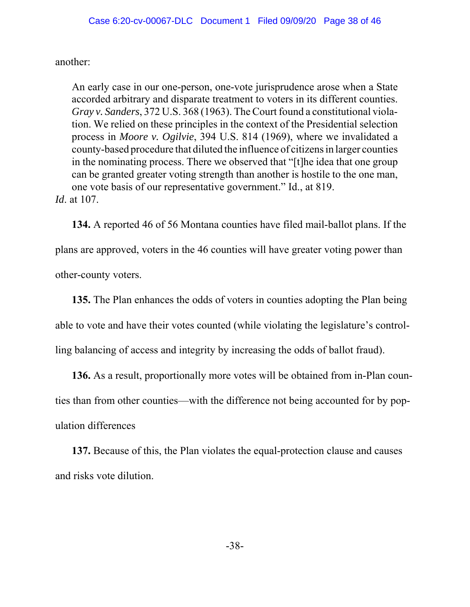another:

An early case in our one-person, one-vote jurisprudence arose when a State accorded arbitrary and disparate treatment to voters in its different counties. *Gray v. Sanders*, 372 U.S. 368 (1963). The Court found a constitutional violation. We relied on these principles in the context of the Presidential selection process in *Moore v. Ogilvie*, 394 U.S. 814 (1969), where we invalidated a county-based procedure that diluted the influence of citizens in larger counties in the nominating process. There we observed that "[t]he idea that one group can be granted greater voting strength than another is hostile to the one man, one vote basis of our representative government." Id., at 819. *Id*. at 107.

**134.** A reported 46 of 56 Montana counties have filed mail-ballot plans. If the plans are approved, voters in the 46 counties will have greater voting power than other-county voters.

**135.** The Plan enhances the odds of voters in counties adopting the Plan being able to vote and have their votes counted (while violating the legislature's controlling balancing of access and integrity by increasing the odds of ballot fraud).

**136.** As a result, proportionally more votes will be obtained from in-Plan counties than from other counties—with the difference not being accounted for by population differences

**137.** Because of this, the Plan violates the equal-protection clause and causes and risks vote dilution.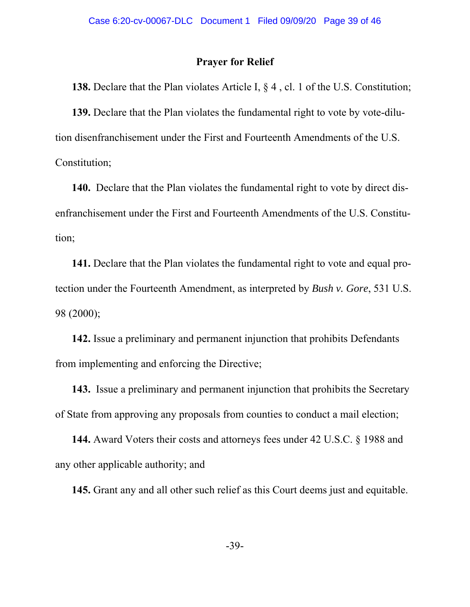### **Prayer for Relief**

**138.** Declare that the Plan violates Article I, § 4 , cl. 1 of the U.S. Constitution;

**139.** Declare that the Plan violates the fundamental right to vote by vote-dilution disenfranchisement under the First and Fourteenth Amendments of the U.S. Constitution;

**140.** Declare that the Plan violates the fundamental right to vote by direct disenfranchisement under the First and Fourteenth Amendments of the U.S. Constitution;

**141.** Declare that the Plan violates the fundamental right to vote and equal protection under the Fourteenth Amendment, as interpreted by *Bush v. Gore*, 531 U.S. 98 (2000);

**142.** Issue a preliminary and permanent injunction that prohibits Defendants from implementing and enforcing the Directive;

**143.** Issue a preliminary and permanent injunction that prohibits the Secretary of State from approving any proposals from counties to conduct a mail election;

**144.** Award Voters their costs and attorneys fees under 42 U.S.C. § 1988 and any other applicable authority; and

**145.** Grant any and all other such relief as this Court deems just and equitable.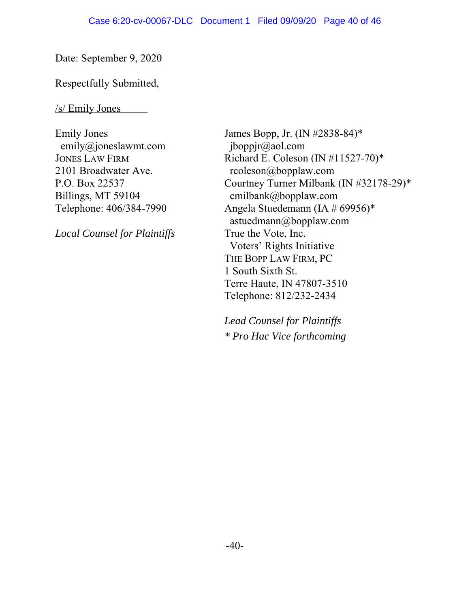Date: September 9, 2020

Respectfully Submitted,

/s/ Emily Jones

Emily Jones emily@joneslawmt.com JONES LAW FIRM 2101 Broadwater Ave. P.O. Box 22537 Billings, MT 59104 Telephone: 406/384-7990

*Local Counsel for Plaintiffs*

James Bopp, Jr. (IN #2838-84)\* jboppjr@aol.com Richard E. Coleson (IN #11527-70)\* rcoleson@bopplaw.com Courtney Turner Milbank (IN #32178-29)\* cmilbank@bopplaw.com Angela Stuedemann (IA # 69956)\* astuedmann@bopplaw.com True the Vote, Inc. Voters' Rights Initiative THE BOPP LAW FIRM, PC 1 South Sixth St. Terre Haute, IN 47807-3510 Telephone: 812/232-2434

*Lead Counsel for Plaintiffs \* Pro Hac Vice forthcoming*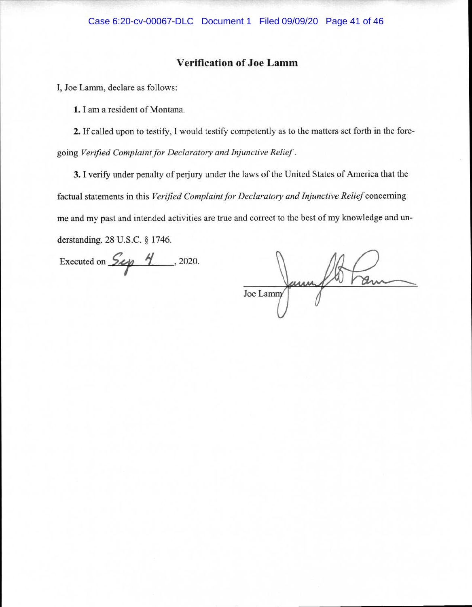#### **Verification of Joe Lamm**

**I, Joe Lamm, declare as follows:** 

**1. I am a resident of Montana.** 

**2. If called upon to testify, I would testify competently** as to the matters set forth in the foregoing *Verified Complaint for Declaratory and Injunctive Relief .* 

**3.1 verify under penalty** of **perjury under the laws of the United States of America that the**  factual statements **in this** *Verified Complaint for Declaratory and Injunctive Relief* **concerning me and my past and intended activities are true and correct to the best of my** knowledge and understanding. 28 U.S.C. § **1746.** 

Executed on  $Sep \t 4$ , 2020.

Joe Lammy annual 10 trans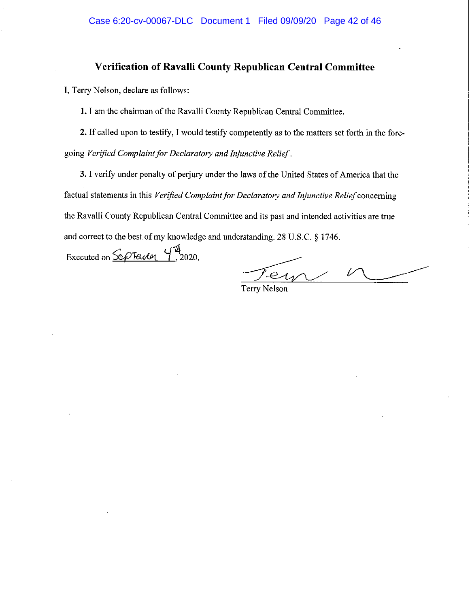### Verification of Ravalli County Republican Central Committee

I, Terry Nelson, declare as follows:

1. I am the chairman of the Ravalli County Republican Central Committee.

2. If called upon to testify, I would testify competently as to the matters set forth in the foregoing Verified Complaint for Declaratory and Injunctive Relief.

3. I verify under penalty of perjury under the laws of the United States of America that the factual statements in this Verified Complaint for Declaratory and Injunctive Relief concerning the Ravalli County Republican Central Committee and its past and intended activities are true and correct to the best of my knowledge and understanding. 28 U.S.C. § 1746.

Executed on  $\frac{\mathcal{C}}{\mathcal{C}}$  Few  $\frac{\mathcal{C}}{\mathcal{C}}$ , 2020.

er

**Terry Nelson**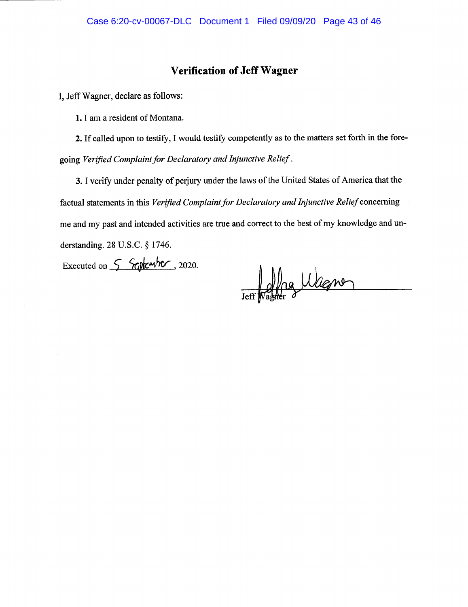## **Verification of Jeff Wagner**

I, Jeff Wagner, declare as follows:

1. I am a resident of Montana.

2. If called upon to testify, I would testify competently as to the matters set forth in the foregoing Verified Complaint for Declaratory and Injunctive Relief.

3. I verify under penalty of perjury under the laws of the United States of America that the factual statements in this Verified Complaint for Declaratory and Injunctive Relief concerning me and my past and intended activities are true and correct to the best of my knowledge and understanding. 28 U.S.C. § 1746.

Executed on  $\int$  September, 2020.

Jeff pagner Wagner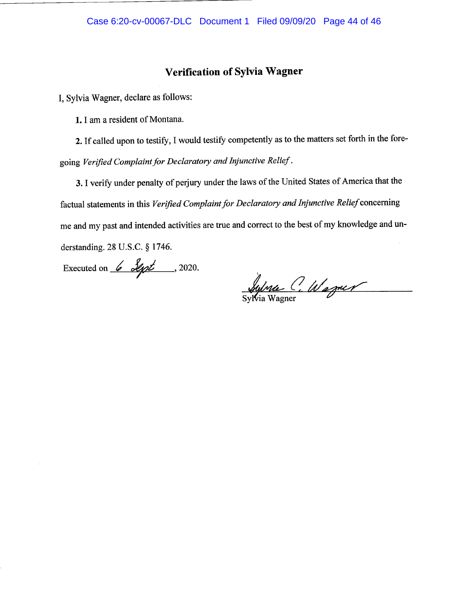### **Verification of Sylvia Wagner**

I, Sylvia Wagner, declare as follows:

1. I am a resident of Montana.

2. If called upon to testify, I would testify competently as to the matters set forth in the foregoing Verified Complaint for Declaratory and Injunctive Relief.

3. I verify under penalty of perjury under the laws of the United States of America that the factual statements in this Verified Complaint for Declaratory and Injunctive Relief concerning me and my past and intended activities are true and correct to the best of my knowledge and understanding. 28 U.S.C. § 1746.

Executed on  $6$  Sept ..., 2020.

Sylvia C. Wagner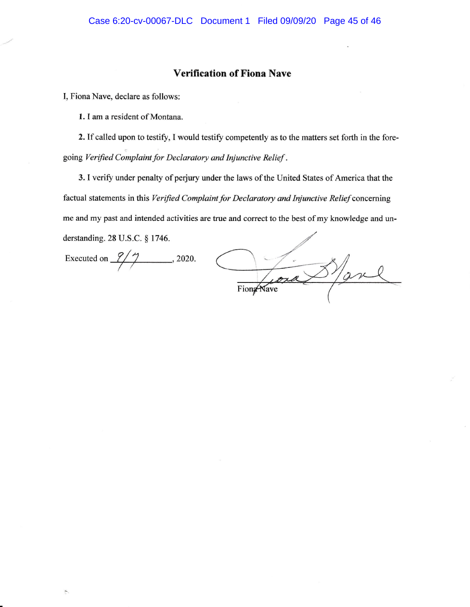#### Verification of Fiona Nave

I, Fiona Nave, declare as follows:

1. I am a resident of Montana.

2. If called upon to testify, I would testify competently as to the matters set forth in the foregoing Verified Complaint for Declaratory and Injunctive Relief .

3. I verify under penalty of perjury under the laws of the United States of America that the factual statements in this Verified Complaint for Declaratory and Injunctive Relief concerning me and my past and intended activities are true and correct to the best of my knowledge and understanding.23 U.S.C. \$ 1746.

Executed on  $\frac{9}{7}$ , 2020.

 $\frac{8}{\alpha}$ FiongNave